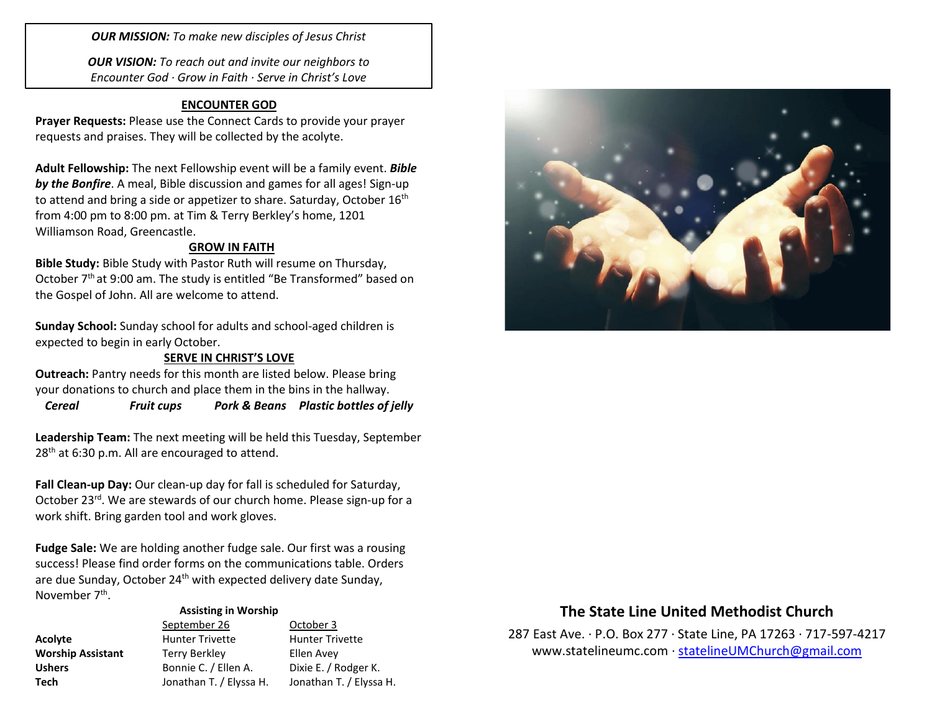*OUR MISSION: To make new disciples of Jesus Christ*

*OUR VISION: To reach out and invite our neighbors to Encounter God · Grow in Faith · Serve in Christ's Love*

## **ENCOUNTER GOD**

**Prayer Requests:** Please use the Connect Cards to provide your prayer requests and praises. They will be collected by the acolyte.

**Adult Fellowship:** The next Fellowship event will be a family event. *Bible by the Bonfire*. A meal, Bible discussion and games for all ages! Sign-up to attend and bring a side or appetizer to share. Saturday, October 16<sup>th</sup> from 4:00 pm to 8:00 pm. at Tim & Terry Berkley's home, 1201 Williamson Road, Greencastle.

### **GROW IN FAITH**

**Bible Study:** Bible Study with Pastor Ruth will resume on Thursday, October 7<sup>th</sup> at 9:00 am. The study is entitled "Be Transformed" based on the Gospel of John. All are welcome to attend.

**Sunday School:** Sunday school for adults and school-aged children is expected to begin in early October.

### **SERVE IN CHRIST'S LOVE**

**Outreach:** Pantry needs for this month are listed below. Please bring your donations to church and place them in the bins in the hallway.

*Cereal Fruit cups Pork & Beans Plastic bottles of jelly*

**Leadership Team:** The next meeting will be held this Tuesday, September 28<sup>th</sup> at 6:30 p.m. All are encouraged to attend.

**Fall Clean-up Day:** Our clean-up day for fall is scheduled for Saturday, October 23rd. We are stewards of our church home. Please sign-up for a work shift. Bring garden tool and work gloves.

**Fudge Sale:** We are holding another fudge sale. Our first was a rousing success! Please find order forms on the communications table. Orders are due Sunday, October 24<sup>th</sup> with expected delivery date Sunday, November 7<sup>th</sup>.

#### **Assisting in Worship**

|                          | September 26            | October 3               |
|--------------------------|-------------------------|-------------------------|
| Acolyte                  | <b>Hunter Trivette</b>  | <b>Hunter Trivette</b>  |
| <b>Worship Assistant</b> | <b>Terry Berkley</b>    | Ellen Avey              |
| <b>Ushers</b>            | Bonnie C. / Ellen A.    | Dixie E. / Rodger K.    |
| Tech                     | Jonathan T. / Elyssa H. | Jonathan T. / Elyssa H. |



# **The State Line United Methodist Church**

287 East Ave. · P.O. Box 277 · State Line, PA 17263 · 717-597-4217 [www.statelineumc.com](http://www.statelineumc.com/) · [statelineUMChurch@gmail.com](mailto:statelineUMChurch@gmail.com)